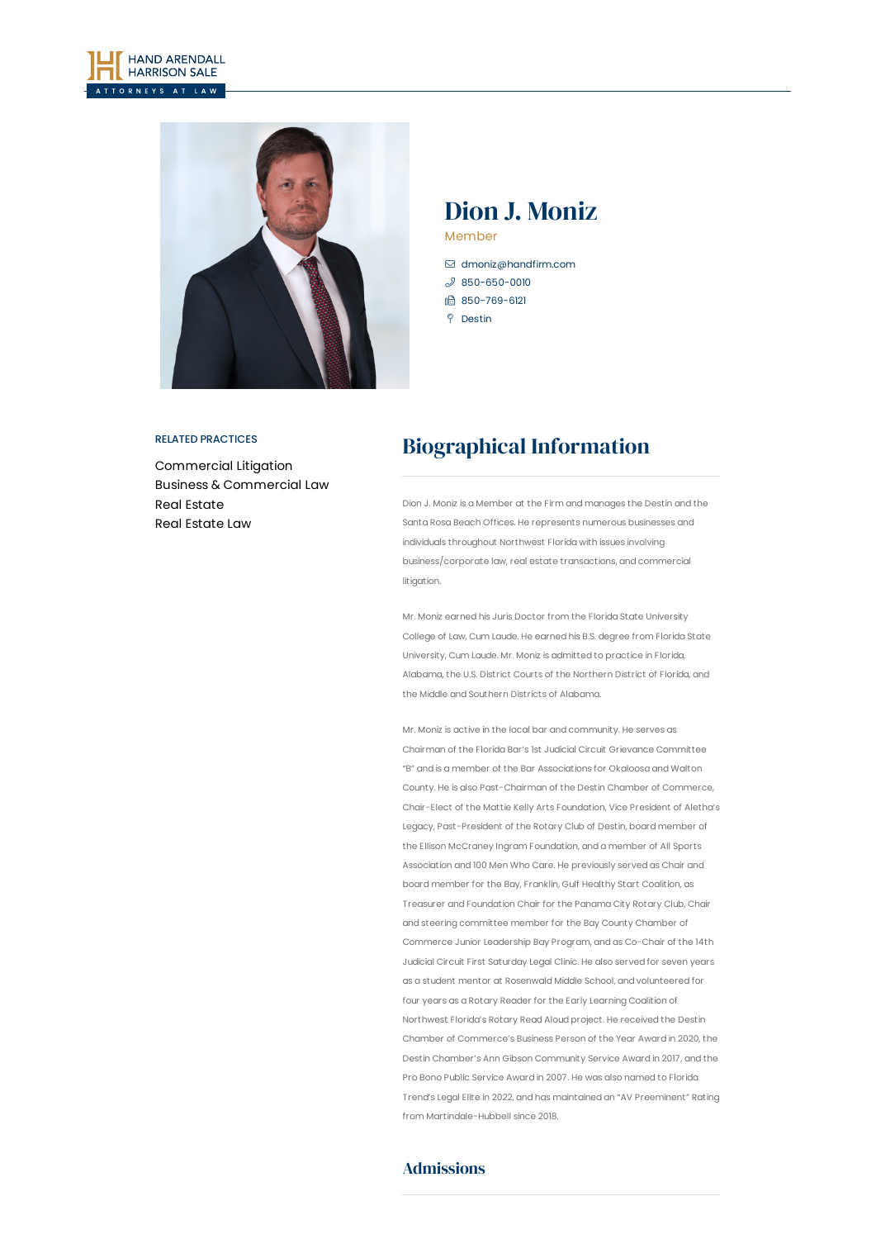



## Dion J. Moniz Member

- [dmoniz@handfirm.com](mailto:dmoniz@handfirm.com)  $$850-650-0010$  $$850-650-0010$ ■ 850-769-6121
- <sup>Q</sup> Destin
- 

#### RELATED PRACTICES

[Commercial](https://www.handfirm.com/practices/litigation/commercial-litigation/) Litigation Business & [Commercial](https://www.handfirm.com/practices/business-services/business-commercial-law/) Law Real [Estate](https://www.handfirm.com/practices/industries/real-estate/) Real [Estate](https://www.handfirm.com/practices/business-services/real-estate-law/) Law

# Biographical Information

Dion J. Moniz is a Member at the Firm and manages the Destin and the Santa Rosa Beach Offices. He represents numerous businesses and individuals throughout Northwest Florida with issues involving business/corporate law, real estate transactions, and commercial litigation.

Mr. Moniz earned his Juris Doctor from the Florida State University College of Law, Cum Laude. He earned his B.S. degree from Florida State University, Cum Laude. Mr. Moniz is admitted to practice in Florida, Alabama, the U.S. District Courts of the Northern District of Florida, and the Middle and Southern Districts of Alabama.

Mr. Moniz is active in the local bar and community. He serves as Chairman of the Florida Bar's 1st Judicial Circuit Grievance Committee "B" and is a member of the Bar Associations for Okaloosa and Walton County. He is also Past-Chairman of the Destin Chamber of Commerce, Chair-Elect of the Mattie Kelly Arts Foundation, Vice President of Aletha's Legacy, Past-President of the Rotary Club of Destin, board member of the Ellison McCraney Ingram Foundation, and a member of All Sports Association and 100 Men Who Care. He previously served as Chair and board member for the Bay, Franklin, Gulf Healthy Start Coalition, as Treasurer and Foundation Chair for the Panama City Rotary Club, Chair and steering committee member for the Bay County Chamber of Commerce Junior Leadership Bay Program, and as Co-Chair of the 14th Judicial Circuit First Saturday Legal Clinic. He also served for seven years as a student mentor at Rosenwald Middle School, and volunteered for four years as a Rotary Reader for the Early Learning Coalition of Northwest Florida's Rotary Read Aloud project. He received the Destin Chamber of Commerce's Business Person of the Year Award in 2020, the Destin Chamber's Ann Gibson Community Service Award in 2017, and the Pro Bono Public Service Award in 2007. He was also named to Florida Trend's Legal Elite in 2022, and has maintained an "AV Preeminent" Rating from Martindale-Hubbell since 2018.

Admissions